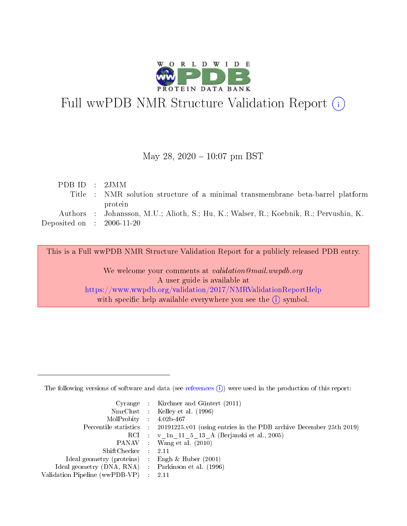

# Full wwPDB NMR Structure Validation Report (i)

#### May 28,  $2020 - 10:07$  pm BST

| PDBID : 2JMM                         |                                                                                       |
|--------------------------------------|---------------------------------------------------------------------------------------|
|                                      | Title : NMR solution structure of a minimal transmembrane beta-barrel platform        |
|                                      | protein                                                                               |
|                                      | Authors : Johansson, M.U.; Alioth, S.; Hu, K.; Walser, R.; Koebnik, R.; Pervushin, K. |
| Deposited on $\therefore$ 2006-11-20 |                                                                                       |
|                                      |                                                                                       |

This is a Full wwPDB NMR Structure Validation Report for a publicly released PDB entry.

We welcome your comments at *validation@mail.wwpdb.org* A user guide is available at <https://www.wwpdb.org/validation/2017/NMRValidationReportHelp> with specific help available everywhere you see the  $(i)$  symbol.

The following versions of software and data (see [references](https://www.wwpdb.org/validation/2017/NMRValidationReportHelp#references)  $(1)$ ) were used in the production of this report:

|                                                     | Cyrange : Kirchner and Güntert (2011)                                  |
|-----------------------------------------------------|------------------------------------------------------------------------|
|                                                     | NmrClust : Kelley et al. (1996)                                        |
| $MolProbability$ 4.02b-467                          |                                                                        |
| Percentile statistics :                             | $20191225$ , v01 (using entries in the PDB archive December 25th 2019) |
|                                                     | RCI : v 1n 11 5 13 A (Berjanski et al., 2005)                          |
|                                                     | PANAV : Wang et al. (2010)                                             |
| $ShiftChecker$ : 2.11                               |                                                                        |
| Ideal geometry (proteins) : Engh $\&$ Huber (2001)  |                                                                        |
| Ideal geometry (DNA, RNA) : Parkinson et al. (1996) |                                                                        |
| Validation Pipeline (wwPDB-VP)                      | -2.11                                                                  |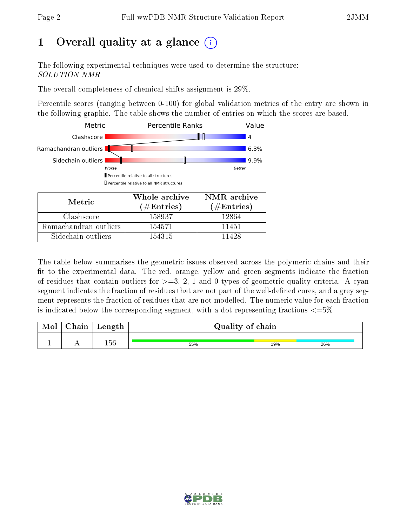# 1 [O](https://www.wwpdb.org/validation/2017/NMRValidationReportHelp#overall_quality)verall quality at a glance (i)

The following experimental techniques were used to determine the structure: SOLUTION NMR

The overall completeness of chemical shifts assignment is 29%.

Percentile scores (ranging between 0-100) for global validation metrics of the entry are shown in the following graphic. The table shows the number of entries on which the scores are based.



The table below summarises the geometric issues observed across the polymeric chains and their fit to the experimental data. The red, orange, yellow and green segments indicate the fraction of residues that contain outliers for  $>=3, 2, 1$  and 0 types of geometric quality criteria. A cyan segment indicates the fraction of residues that are not part of the well-defined cores, and a grey segment represents the fraction of residues that are not modelled. The numeric value for each fraction is indicated below the corresponding segment, with a dot representing fractions  $\epsilon = 5\%$ 

| Mol | Chain | Length | Quality of chain |     |     |
|-----|-------|--------|------------------|-----|-----|
|     | . .   | 156    | 55%              | 19% | 26% |

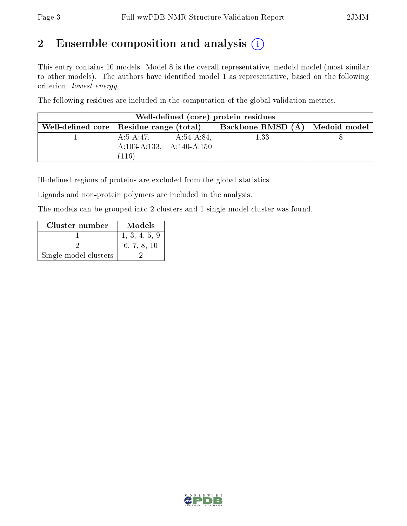# 2 Ensemble composition and analysis  $(i)$

This entry contains 10 models. Model 8 is the overall representative, medoid model (most similar to other models). The authors have identified model 1 as representative, based on the following criterion: lowest energy.

The following residues are included in the computation of the global validation metrics.

| Well-defined (core) protein residues                                                 |                               |            |      |  |  |  |  |  |  |
|--------------------------------------------------------------------------------------|-------------------------------|------------|------|--|--|--|--|--|--|
| Backbone RMSD $(A)$<br>  Medoid model  <br>Well-defined core   Residue range (total) |                               |            |      |  |  |  |  |  |  |
|                                                                                      | $A:5-A:47$                    | A:54-A:84, | 1.33 |  |  |  |  |  |  |
|                                                                                      | $A:103-A:133$ , $A:140-A:150$ |            |      |  |  |  |  |  |  |
|                                                                                      | $^{\prime}116^{\cdot}$        |            |      |  |  |  |  |  |  |

Ill-defined regions of proteins are excluded from the global statistics.

Ligands and non-protein polymers are included in the analysis.

The models can be grouped into 2 clusters and 1 single-model cluster was found.

| Cluster number        | Models        |
|-----------------------|---------------|
|                       | 1, 3, 4, 5, 9 |
|                       | 6, 7, 8, 10   |
| Single-model clusters |               |

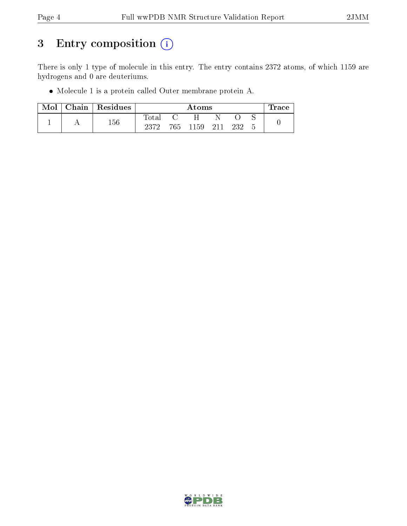# 3 Entry composition (i)

There is only 1 type of molecule in this entry. The entry contains 2372 atoms, of which 1159 are hydrogens and 0 are deuteriums.

Molecule 1 is a protein called Outer membrane protein A.

| Mol |     | Chain Residues |             | Atoms    |        |      |  |  |  |
|-----|-----|----------------|-------------|----------|--------|------|--|--|--|
|     |     |                | $\rm Total$ |          |        |      |  |  |  |
|     | 156 | 2372           |             | 765 1159 | $-211$ | -232 |  |  |  |

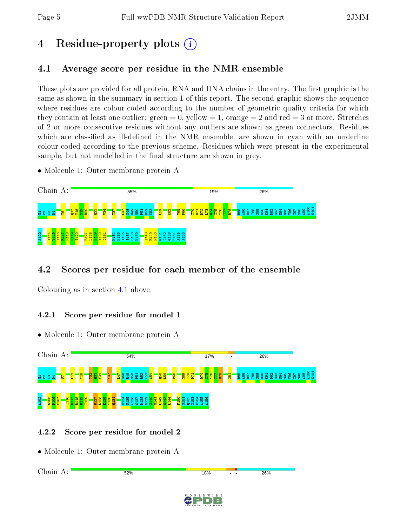# 4 Residue-property plots  $\binom{1}{1}$

## <span id="page-4-0"></span>4.1 Average score per residue in the NMR ensemble

These plots are provided for all protein, RNA and DNA chains in the entry. The first graphic is the same as shown in the summary in section 1 of this report. The second graphic shows the sequence where residues are colour-coded according to the number of geometric quality criteria for which they contain at least one outlier: green  $= 0$ , yellow  $= 1$ , orange  $= 2$  and red  $= 3$  or more. Stretches of 2 or more consecutive residues without any outliers are shown as green connectors. Residues which are classified as ill-defined in the NMR ensemble, are shown in cyan with an underline colour-coded according to the previous scheme. Residues which were present in the experimental sample, but not modelled in the final structure are shown in grey.

• Molecule 1: Outer membrane protein A



## 4.2 Scores per residue for each member of the ensemble

Colouring as in section [4.1](#page-4-0) above.

#### 4.2.1 Score per residue for model 1

• Molecule 1: Outer membrane protein A



## 4.2.2 Score per residue for model 2

• Molecule 1: Outer membrane protein A

Chain A:52% 18% 26%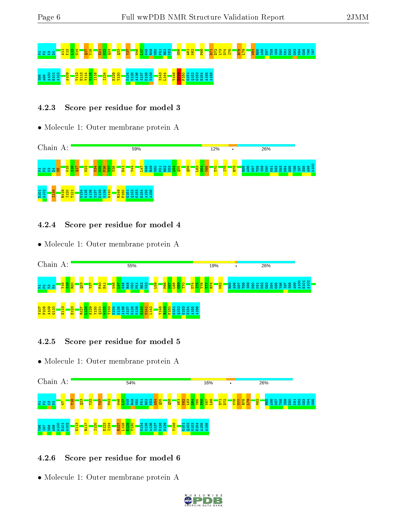# M1P2K3D4A11 K12 L13 G14 Q17 Y18 E21 N22 Q23 Q33 Y37 W46 L47 G48 R49 M50 P51 R52 K53 G56 A61 K62 P66 D71 D72 L73 D74 I75 R78 L79 W84 R85 A86 D87 T88 S89 D90 K91 D92 G93 N94 G95 Y96 I97 <mark>S98 A100 E113</mark><br>B98 B11<br>B98 B114 E1

#### 4.2.3 Score per residue for model 3

• Molecule 1: Outer membrane protein A



#### 4.2.4 Score per residue for model 4

• Molecule 1: Outer membrane protein A



4.2.5 Score per residue for model 5

• Molecule 1: Outer membrane protein A



#### 4.2.6 Score per residue for model 6

• Molecule 1: Outer membrane protein A

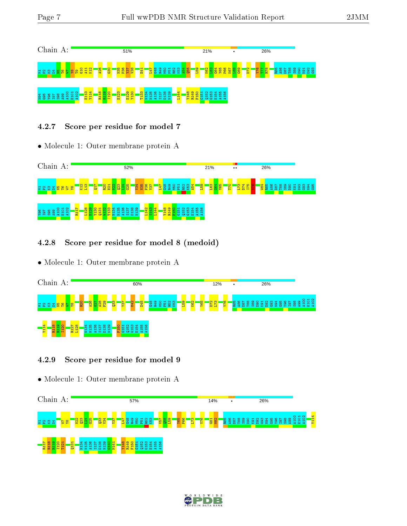

#### 4.2.7 Score per residue for model 7

• Molecule 1: Outer membrane protein A



4.2.8 Score per residue for model 8 (medoid)

• Molecule 1: Outer membrane protein A



## 4.2.9 Score per residue for model 9

• Molecule 1: Outer membrane protein A



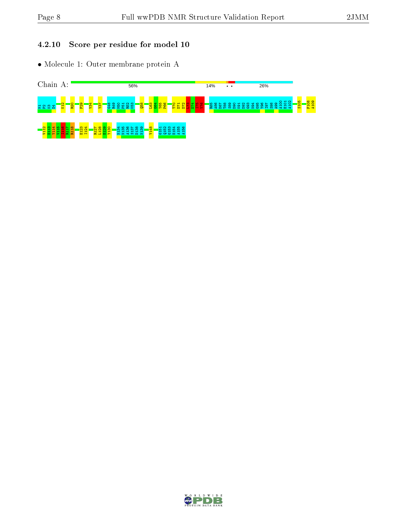#### 4.2.10 Score per residue for model 10

• Molecule 1: Outer membrane protein A



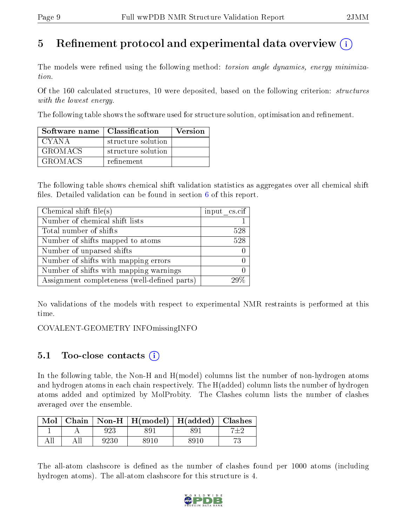# 5 Refinement protocol and experimental data overview  $\widehat{a}$

The models were refined using the following method: torsion angle dynamics, energy minimization.

Of the 160 calculated structures, 10 were deposited, based on the following criterion: *structures* with the lowest energy.

The following table shows the software used for structure solution, optimisation and refinement.

| Software name   Classification |                    | Version |
|--------------------------------|--------------------|---------|
| CYANA                          | structure solution |         |
| <b>GROMACS</b>                 | structure solution |         |
| <b>GROMACS</b>                 | refinement         |         |

The following table shows chemical shift validation statistics as aggregates over all chemical shift files. Detailed validation can be found in section  $6$  of this report.

| Chemical shift file(s)                       | input cs.cif |
|----------------------------------------------|--------------|
| Number of chemical shift lists               |              |
| Total number of shifts                       | 528          |
| Number of shifts mapped to atoms             | 528          |
| Number of unparsed shifts                    |              |
| Number of shifts with mapping errors         |              |
| Number of shifts with mapping warnings       |              |
| Assignment completeness (well-defined parts) |              |

No validations of the models with respect to experimental NMR restraints is performed at this time.

COVALENT-GEOMETRY INFOmissingINFO

## 5.1 Too-close contacts (i)

In the following table, the Non-H and H(model) columns list the number of non-hydrogen atoms and hydrogen atoms in each chain respectively. The H(added) column lists the number of hydrogen atoms added and optimized by MolProbity. The Clashes column lists the number of clashes averaged over the ensemble.

| $\text{Mol}$ |      | $\mid$ Chain $\mid$ Non-H $\mid$ H(model) $\mid$ H(added) $\mid$ Clashes |      |  |
|--------------|------|--------------------------------------------------------------------------|------|--|
|              | 923  | 891                                                                      | 891  |  |
|              | 9230 | 8910                                                                     | 8910 |  |

The all-atom clashscore is defined as the number of clashes found per 1000 atoms (including hydrogen atoms). The all-atom clashscore for this structure is 4.

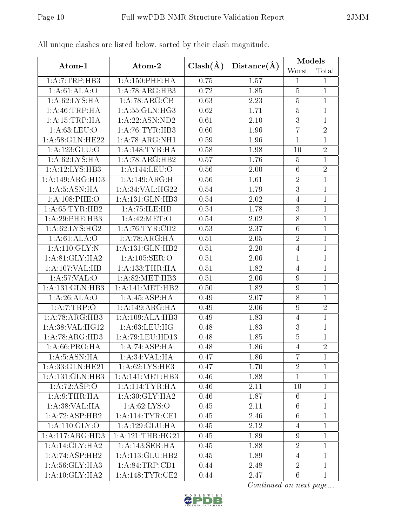|                           |                     |              |             | Models           |                |  |
|---------------------------|---------------------|--------------|-------------|------------------|----------------|--|
| Atom-1                    | Atom-2              | $Clash(\AA)$ | Distance(A) | Worst            | Total          |  |
| 1:A:7:TRP:HB3             | 1: A: 150: PHE: HA  | 0.75         | 1.57        | 1                | 1              |  |
| 1:A:61:ALA:O              | 1:A:78:ARG:HB3      | 0.72         | 1.85        | $\overline{5}$   | $\mathbf{1}$   |  |
| 1: A:62: LYS: HA          | 1:A:78:ARG:CB       | 0.63         | 2.23        | $\bf 5$          | $\mathbf{1}$   |  |
| 1: A:46:TRP:HA            | 1:A:55:GLN:HG3      | 0.62         | 1.71        | $\overline{5}$   | $\mathbf{1}$   |  |
| 1: A: 15: TRP: HA         | 1: A:22: ASN:ND2    | 0.61         | 2.10        | 3                | $\mathbf{1}$   |  |
| 1: A:63:LEU:O             | 1: A:76:TYR:HB3     | 0.60         | 1.96        | $\overline{7}$   | $\overline{2}$ |  |
| 1: A:58: GLN: HE22        | 1:A:78:ARG:NH1      | 0.59         | $1.96\,$    | $\mathbf{1}$     | $\mathbf{1}$   |  |
| 1: A: 123: GLU: O         | 1: A:148:TYR:HA     | 0.58         | 1.98        | 10               | $\overline{2}$ |  |
| 1:A:62:LYS:HA             | 1:A:78:ARG:HB2      | 0.57         | 1.76        | $\overline{5}$   | $\mathbf{1}$   |  |
| 1:A:12:LYS:HB3            | 1:A:144:LEU:O       | 0.56         | 2.00        | $6\phantom{.}6$  | $\overline{2}$ |  |
| 1:A:149:ARG:HD3           | 1:A:149:ARG:H       | 0.56         | 1.61        | $\sqrt{2}$       | $\overline{1}$ |  |
| 1: A:5: ASN: HA           | 1: A:34: VAL:HG22   | 0.54         | 1.79        | $\overline{3}$   | $\mathbf{1}$   |  |
| 1: A:108: PHE:O           | 1:A:131:GLN:HB3     | 0.54         | 2.02        | $\overline{4}$   | $\mathbf{1}$   |  |
| 1: A:65:TYR:HB2           | 1:A:75:ILE:HB       | 0.54         | 1.78        | $\mathbf{3}$     | $\mathbf{1}$   |  |
| 1:A:29:PHE:HB3            | 1: A:42: MET:O      | 0.54         | 2.02        | $\overline{8}$   | $\overline{1}$ |  |
| 1: A:62: LYS: HG2         | 1: A:76:TYR:CD2     | 0.53         | 2.37        | $\boldsymbol{6}$ | $\mathbf{1}$   |  |
| 1:A:61:ALA:O              | 1:A:78:ARG:HA       | 0.51         | 2.05        | $\overline{2}$   | $\mathbf{1}$   |  |
| 1:A:110:GLY:N             | 1:A:131:GLN:HB2     | 0.51         | 2.20        | 4                | $\mathbf 1$    |  |
| 1: A:81: GLY:HA2          | 1:A:105:SER:O       | 0.51         | 2.06        | $\mathbf 1$      | $\mathbf{1}$   |  |
| 1:A:107:VAL:HB            | 1: A: 133: THR: HA  | 0.51         | 1.82        | $\overline{4}$   | $\mathbf{1}$   |  |
| 1: A:57:VAL:O             | 1: A:82:MET:HB3     | 0.51         | 2.06        | 9                | $\overline{1}$ |  |
| 1: A: 131: GLN: HB3       | 1:A:141:MET:HB2     | 0.50         | 1.82        | $\boldsymbol{9}$ | $\mathbf{1}$   |  |
| 1:A:26:ALA:O              | 1:A:45:ASP:HA       | 0.49         | 2.07        | 8                | $\mathbf{1}$   |  |
| 1: A: 7: TRP: O           | 1:A:149:ARG:HA      | 0.49         | 2.06        | $\overline{9}$   | $\overline{2}$ |  |
| 1:A:78:ARG:HB3            | 1:A:109:ALA:HB3     | 0.49         | 1.83        | $\overline{4}$   | $\mathbf{1}$   |  |
| 1: A:38: VAL:HG12         | 1: A:63:LEU:HG      | 0.48         | 1.83        | 3                | $\mathbf{1}$   |  |
| 1:A:78:ARG:HD3            | 1: A:79: LEU: HD13  | 0.48         | 1.85        | $\overline{5}$   | 1              |  |
| 1: A:66:PRO:HA            | 1: A:74: ASP:HA     | 0.48         | 1.86        | $\overline{4}$   | $\overline{2}$ |  |
| 1: A:5: ASN: HA           | 1:A:34:VAL:HA       | 0.47         | 1.86        | $\overline{7}$   | 1              |  |
| 1:A:33:GLN:HE21           | 1: A:62: LYS: HE3   | 0.47         | 1.70        | $\overline{2}$   | $\mathbf{1}$   |  |
| 1:A:131:GLN:HB3           | 1: A:141: MET:HB3   | 0.46         | 1.88        | $\mathbf{1}$     | $\mathbf{1}$   |  |
| $1:\overline{A:72:ASP:O}$ | 1:A:114:TYR:HA      | 0.46         | 2.11        | 10               | $\mathbf{1}$   |  |
| 1: A:9:THR:HA             | 1: A:30: GLY:HA2    | 0.46         | 1.87        | 6                | $\mathbf 1$    |  |
| 1: A:38: VAL:HA           | 1: A:62: LYS:O      | $0.45\,$     | 2.11        | $6\phantom{.}6$  | $\mathbf{1}$   |  |
| 1:A:72:ASP:HB2            | 1: A:114:TYR:CE1    | 0.45         | 2.46        | $\,6\,$          | $\mathbf{1}$   |  |
| 1: A:110: GLY:O           | 1: A: 129: GLU: HA  | 0.45         | 2.12        | $\overline{4}$   | $\overline{1}$ |  |
| 1:A:117:ARG:HD3           | 1: A: 121:THR: HG21 | 0.45         | 1.89        | 9                | 1              |  |
| 1:A:14:GLY:HA2            | 1:A:143:SER:HA      | 0.45         | 1.88        | $\overline{2}$   | $\mathbf{1}$   |  |
| 1:A:74:ASP:HB2            | 1:A:113:GLU:HB2     | 0.45         | 1.89        | $\overline{4}$   | $\mathbf{1}$   |  |
| 1: A:56: GLY:HA3          | 1: A:84:TRP:CD1     | 0.44         | 2.48        | $\overline{2}$   | $\mathbf{1}$   |  |
| 1: A:10: GLY: HA2         | 1: A:148:TYR:CE2    | 0.44         | 2.47        | $6\phantom{.}6$  | $\mathbf{1}$   |  |

All unique clashes are listed below, sorted by their clash magnitude.

Continued on next page...

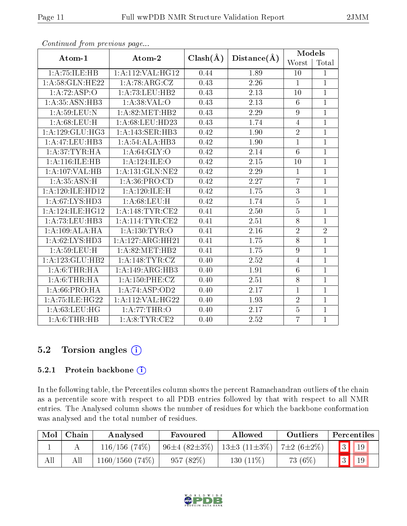|                    |                     | Continued from previous page<br>Models |             |                |                |  |  |  |  |  |  |
|--------------------|---------------------|----------------------------------------|-------------|----------------|----------------|--|--|--|--|--|--|
| Atom-1             | Atom-2              | $Clash(\AA)$                           | Distance(A) | Worst          | Total          |  |  |  |  |  |  |
| 1: A: 75: ILE: HB  | 1:A:112:VAL:HG12    | 0.44                                   | 1.89        | 10             | $\mathbf{1}$   |  |  |  |  |  |  |
| 1: A:58: GLN: HE22 | 1:A:78:ARG:CZ       | 0.43                                   | 2.26        | $\mathbf{1}$   | $\mathbf{1}$   |  |  |  |  |  |  |
| 1:A:72:ASP:O       | 1:A:73:LEU:HB2      | 0.43                                   | 2.13        | 10             | $\mathbf{1}$   |  |  |  |  |  |  |
| 1: A: 35: ASN: HB3 | 1: A:38: VAL:O      | 0.43                                   | 2.13        | 6              | $\mathbf{1}$   |  |  |  |  |  |  |
| 1: A:59: LEU: N    | 1: A:82:MET:HB2     | 0.43                                   | 2.29        | $\overline{9}$ | $\overline{1}$ |  |  |  |  |  |  |
| 1: A:68:LEU:H      | 1:A:68:LEU:HD23     | 0.43                                   | 1.74        | $\overline{4}$ | $\mathbf{1}$   |  |  |  |  |  |  |
| 1:A:129:GLU:HG3    | 1:A:143:SER:HB3     | 0.42                                   | 1.90        | $\overline{2}$ | $\mathbf{1}$   |  |  |  |  |  |  |
| 1:A:47:LEU:HB3     | 1:A:54:ALA:HB3      | 0.42                                   | 1.90        | $\mathbf{1}$   | $\mathbf{1}$   |  |  |  |  |  |  |
| 1: A:37:TYR:HA     | 1: A:64: GLY:O      | 0.42                                   | 2.14        | $\overline{6}$ | $\mathbf{1}$   |  |  |  |  |  |  |
| 1: A:116: ILE: HB  | 1:A:124:ILE:O       | 0.42                                   | 2.15        | 10             | $\mathbf{1}$   |  |  |  |  |  |  |
| 1:A:107:VAL:HB     | 1:A:131:GLN:NE2     | 0.42                                   | 2.29        | 1              | $\mathbf{1}$   |  |  |  |  |  |  |
| 1: A:35: ASN:H     | 1:A:36:PRO:CD       | 0.42                                   | 2.27        | $\overline{7}$ | $\overline{1}$ |  |  |  |  |  |  |
| 1:A:120:ILE:HD12   | 1: A:120: ILE:H     | 0.42                                   | 1.75        | 3              | $\mathbf{1}$   |  |  |  |  |  |  |
| 1: A:67:LYS:HD3    | 1: A:68:LEU:H       | 0.42                                   | 1.74        | $\overline{5}$ | $\mathbf{1}$   |  |  |  |  |  |  |
| 1:A:124:ILE:HG12   | 1: A:148:TYR:CE2    | 0.41                                   | 2.50        | $\overline{5}$ | $\mathbf{1}$   |  |  |  |  |  |  |
| 1: A: 73: LEU: HB3 | 1: A: 114: TYR: CE2 | 0.41                                   | 2.51        | $\overline{8}$ | $\mathbf{1}$   |  |  |  |  |  |  |
| 1:A:109:ALA:HA     | 1: A: 130: TYR: O   | 0.41                                   | 2.16        | $\overline{2}$ | $\overline{2}$ |  |  |  |  |  |  |
| 1: A:62:LYS:HD3    | 1:A:127:ARG:HH21    | 0.41                                   | 1.75        | $\overline{8}$ | $\mathbf{1}$   |  |  |  |  |  |  |
| 1: A:59: LEU:H     | 1: A:82:MET:HB2     | 0.41                                   | 1.75        | 9              | $\overline{1}$ |  |  |  |  |  |  |
| 1:A:123:GLU:HB2    | 1: A:148: TYR: CZ   | 0.40                                   | 2.52        | $\overline{4}$ | $\mathbf{1}$   |  |  |  |  |  |  |
| 1: A:6:THR:HA      | 1:A:149:ARG:HB3     | 0.40                                   | 1.91        | $\overline{6}$ | $\mathbf{1}$   |  |  |  |  |  |  |
| 1: A:6:THR:HA      | 1:A:150:PHE:CZ      | 0.40                                   | 2.51        | 8              | $\mathbf{1}$   |  |  |  |  |  |  |
| 1:A:66:PRO:HA      | 1:A:74:ASP:OD2      | 0.40                                   | 2.17        | $\overline{1}$ | $\mathbf{1}$   |  |  |  |  |  |  |
| 1:A:75:ILE:HG22    | 1:A:112:VAL:HG22    | 0.40                                   | 1.93        | $\overline{2}$ | $\overline{1}$ |  |  |  |  |  |  |
| 1: A:63:LEU:HG     | 1: A:77:THR:O       | 0.40                                   | 2.17        | $\overline{5}$ | $\mathbf{1}$   |  |  |  |  |  |  |
| 1:A:6:THR:HB       | 1: A:8:TYR:CE2      | 0.40                                   | 2.52        | $\overline{7}$ | $\overline{1}$ |  |  |  |  |  |  |

## 5.2 Torsion angles (i)

#### 5.2.1 Protein backbone (i)

In the following table, the Percentiles column shows the percent Ramachandran outliers of the chain as a percentile score with respect to all PDB entries followed by that with respect to all NMR entries. The Analysed column shows the number of residues for which the backbone conformation was analysed and the total number of residues.

| Mol | Chain | Analysed        | Favoured           | Allowed            | Outliers         | Percentiles |
|-----|-------|-----------------|--------------------|--------------------|------------------|-------------|
|     |       | $116/156$ (74%) | $96\pm4(82\pm3\%)$ | $13\pm3(11\pm3\%)$ | $7\pm2(6\pm2\%)$ |             |
| All |       | 1160/1560(74%)  | 957(82%)           | 130 $(11\%)$       | 73 (6\%)         | 10          |

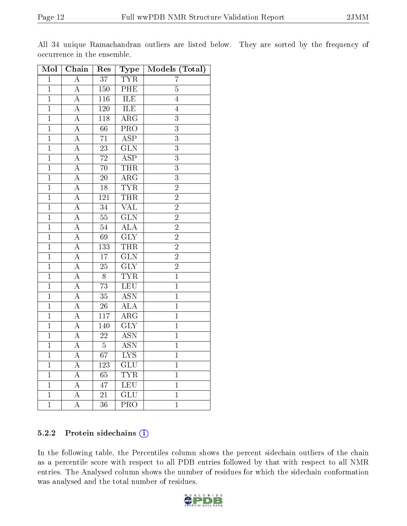| Mol            | Chain              | Res              | Type                      | Models (Total) |
|----------------|--------------------|------------------|---------------------------|----------------|
| $\overline{1}$ | $\overline{\rm A}$ | $\overline{37}$  | $\overline{\text{TYR}}$   | $\overline{7}$ |
| $\mathbf{1}$   | $\overline{\rm A}$ | $\overline{150}$ | PHE                       | $\overline{5}$ |
| $\overline{1}$ | $\overline{\rm A}$ | 116              | ILE                       | $\overline{4}$ |
| $\overline{1}$ | $\overline{\rm A}$ | 120              | <b>ILE</b>                | $\overline{4}$ |
| $\overline{1}$ | $\overline{\rm A}$ | $\overline{118}$ | $\overline{\rm{ARG}}$     | $\overline{3}$ |
| $\overline{1}$ | $\overline{\rm A}$ | 66               | $\overline{\text{PRO}}$   | $\overline{3}$ |
| $\overline{1}$ | $\overline{\rm A}$ | $\overline{71}$  | $\overline{\text{ASP}}$   | $\overline{3}$ |
| $\overline{1}$ | $\overline{\rm A}$ | $\overline{23}$  | $\overline{\text{GLN}}$   | $\overline{3}$ |
| $\overline{1}$ | $\overline{\rm A}$ | $\overline{72}$  | $\overline{\text{ASP}}$   | $\overline{3}$ |
| $\overline{1}$ | $\overline{\rm A}$ | $\overline{70}$  | <b>THR</b>                | $\overline{3}$ |
| $\mathbf{1}$   | $\overline{\rm A}$ | $\overline{20}$  | $\overline{\rm ARG}$      | $\overline{3}$ |
| $\overline{1}$ | $\overline{\rm A}$ | $\overline{18}$  | <b>TYR</b>                | $\overline{2}$ |
| $\overline{1}$ | $\overline{\rm A}$ | $\overline{121}$ | <b>THR</b>                | $\overline{2}$ |
| $\overline{1}$ | $\overline{\rm A}$ | 34               | <b>VAL</b>                | $\overline{2}$ |
| $\overline{1}$ | $\overline{\rm A}$ | $\overline{55}$  | $\overline{\text{GLN}}$   | $\overline{2}$ |
| $\overline{1}$ | $\overline{\rm A}$ | $\overline{5}4$  | ALA                       | $\overline{2}$ |
| $\overline{1}$ | $\overline{\rm A}$ | $\overline{69}$  | $\overline{\text{GLY}}$   | $\overline{2}$ |
| $\overline{1}$ | $\overline{\rm A}$ | 133              | <b>THR</b>                | $\overline{2}$ |
| $\overline{1}$ | $\overline{\rm A}$ | $\overline{17}$  | $\overline{\text{GLN}}$   | $\overline{2}$ |
| $\overline{1}$ | $\overline{\rm A}$ | 25               | $\overline{\text{GLY}}$   | $\overline{2}$ |
| $\overline{1}$ | $\overline{\rm A}$ | $\overline{8}$   | <b>TYR</b>                | $\overline{1}$ |
| $\overline{1}$ | $\overline{\rm A}$ | $\overline{73}$  | LEU                       | $\overline{1}$ |
| $\mathbf{1}$   | $\overline{\rm A}$ | 35               | $\overline{\mathrm{ASN}}$ | $\mathbf{1}$   |
| $\overline{1}$ | $\overline{\rm A}$ | $\overline{26}$  | $\overline{\text{ALA}}$   | $\overline{1}$ |
| $\overline{1}$ | $\overline{\rm A}$ | $\overline{117}$ | $\overline{\rm ARG}$      | $\overline{1}$ |
| $\mathbf{1}$   | $\overline{\rm A}$ | 140              | $\overline{\text{GLY}}$   | $\mathbf{1}$   |
| $\overline{1}$ | $\overline{\rm A}$ | $\overline{22}$  | <b>ASN</b>                | $\overline{1}$ |
| $\mathbf{1}$   | $\overline{\rm A}$ | $\overline{5}$   | <b>ASN</b>                | $\overline{1}$ |
| $\overline{1}$ | $\overline{\rm A}$ | $\overline{67}$  | $\overline{\text{LYS}}$   | $\overline{1}$ |
| $\mathbf{1}$   | $\overline{\rm A}$ | 123              | $\overline{\mathrm{GLU}}$ | $\mathbf{1}$   |
| $\overline{1}$ | $\overline{\rm A}$ | $\overline{65}$  | <b>TYR</b>                | $\mathbf{1}$   |
| $\overline{1}$ | $\overline{\rm A}$ | 47               | LEU                       | $\mathbf{1}$   |
| $\overline{1}$ | $\overline{\rm A}$ | $\overline{21}$  | $\overline{\text{GLU}}$   | $\overline{1}$ |
| $\overline{1}$ | $\overline{\rm A}$ | $\overline{36}$  | $\overline{\text{PRO}}$   | $\overline{1}$ |

All 34 unique Ramachandran outliers are listed below. They are sorted by the frequency of occurrence in the ensemble.

#### 5.2.2 Protein sidechains (i)

In the following table, the Percentiles column shows the percent sidechain outliers of the chain as a percentile score with respect to all PDB entries followed by that with respect to all NMR entries. The Analysed column shows the number of residues for which the sidechain conformation was analysed and the total number of residues.

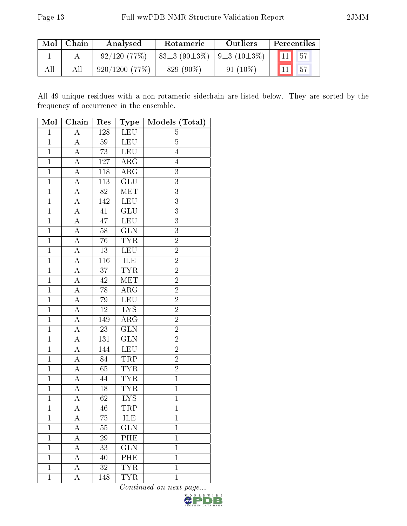| Mol | Chain | Analysed      | <b>Rotameric</b>                                           | Outliers   | $\parallel$ Percentiles                    |
|-----|-------|---------------|------------------------------------------------------------|------------|--------------------------------------------|
|     |       | 92/120(77%)   | $\mid 83 \pm 3 \ (90 \pm 3\%) \mid 9 \pm 3 \ (10 \pm 3\%)$ |            | $\parallel$ 11 $\parallel$ 57              |
| All | All   | 920/1200(77%) | 829 (90\%)                                                 | $91(10\%)$ | $\blacksquare$ 11 h $\blacksquare$<br>.157 |

All 49 unique residues with a non-rotameric sidechain are listed below. They are sorted by the frequency of occurrence in the ensemble.

| Mol            | Chain              | Res              | Type                    | Models (Total) |
|----------------|--------------------|------------------|-------------------------|----------------|
| $\overline{1}$ | $\overline{A}$     | 128              | <b>LEU</b>              | $\overline{5}$ |
| $\mathbf{1}$   | А                  | $59\,$           | <b>LEU</b>              | $\overline{5}$ |
| $\overline{1}$ | A                  | 73               | <b>LEU</b>              | $\overline{4}$ |
| $\overline{1}$ | $\boldsymbol{A}$   | 127              | $\overline{\text{ARG}}$ | $\overline{4}$ |
| $\overline{1}$ | $\boldsymbol{A}$   | $118\,$          | $\rm{ARG}$              | 3              |
| $\overline{1}$ | $\overline{A}$     | 113              | $\overline{\text{GLU}}$ | $\overline{3}$ |
| $\overline{1}$ | A                  | 82               | $\overline{\text{MET}}$ | $\overline{3}$ |
| $\overline{1}$ | $\boldsymbol{A}$   | 142              | <b>LEU</b>              | $\overline{3}$ |
| $\mathbf{1}$   | $\overline{\rm A}$ | 41               | GLU                     | $\overline{3}$ |
| $\mathbf{1}$   | A                  | $47\,$           | <b>LEU</b>              | 3              |
| $\mathbf{1}$   | $\overline{A}$     | $58\,$           | $\overline{\text{GLN}}$ | $\overline{3}$ |
| $\mathbf{1}$   | $\boldsymbol{A}$   | $76\,$           | <b>TYR</b>              | $\overline{2}$ |
| $\mathbf{1}$   | $\overline{\rm A}$ | $\overline{13}$  | <b>LEU</b>              | $\overline{2}$ |
| $\overline{1}$ | $\overline{A}$     | 116              | <b>ILE</b>              | $\overline{2}$ |
| $\mathbf{1}$   | $\overline{A}$     | 37               | <b>TYR</b>              | $\overline{2}$ |
| $\overline{1}$ | $\overline{\rm A}$ | 42               | $\overline{\text{MET}}$ | $\overline{2}$ |
| $\mathbf{1}$   | $\overline{A}$     | 78               | $\overline{\rm{ARG}}$   | $\overline{2}$ |
| $\overline{1}$ | $\overline{\rm A}$ | 79               | <b>LEU</b>              | $\overline{2}$ |
| $\mathbf{1}$   | $\rm A$            | $\overline{12}$  | $\overline{LYS}$        | $\overline{2}$ |
| $\mathbf{1}$   | A                  | 149              | $\overline{\rm{ARG}}$   | $\overline{2}$ |
| $\mathbf{1}$   | $\overline{A}$     | 23               | $\overline{\text{GLN}}$ | $\overline{2}$ |
| $\overline{1}$ | $\boldsymbol{A}$   | 131              | $\overline{\text{GLN}}$ | $\overline{2}$ |
| $\overline{1}$ | $\overline{A}$     | $\overline{144}$ | LEU                     | $\overline{2}$ |
| $\overline{1}$ | A                  | 84               | TRP                     | $\overline{2}$ |
| $\mathbf{1}$   | $\boldsymbol{A}$   | 65               | <b>TYR</b>              | $\overline{2}$ |
| $\mathbf{1}$   | A                  | 44               | <b>TYR</b>              | $\overline{1}$ |
| $\overline{1}$ | $\boldsymbol{A}$   | 18               | $\overline{\text{TYR}}$ | $\overline{1}$ |
| $\overline{1}$ | A                  | 62               | $\overline{\text{LYS}}$ | $\mathbf{1}$   |
| $\mathbf{1}$   | А                  | 46               | TRP                     | $\mathbf{1}$   |
| 1              | A                  | 75               | ILE                     | 1              |
| $\mathbf{1}$   | А                  | 55               | <b>GLN</b>              | $\mathbf 1$    |
| $\mathbf{1}$   | A                  | 29               | PHE                     | $\mathbf{1}$   |
| $\overline{1}$ | $\overline{\rm A}$ | $\overline{33}$  | $\overline{\text{GLN}}$ | $\mathbf{1}$   |
| $\mathbf{1}$   | А                  | 40               | <b>PHE</b>              | 1              |
| $\mathbf{1}$   | $\overline{\rm A}$ | 32               | <b>TYR</b>              | $\mathbf{1}$   |
| $\mathbf{1}$   | A                  | 148              | <b>TYR</b>              | $\mathbf 1$    |

Continued on next page...

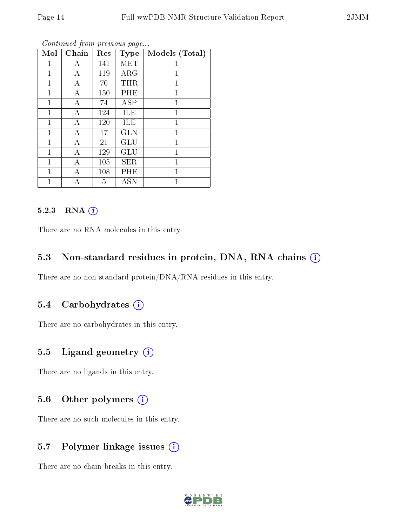| Mol          | Chain | Res | <b>Type</b> | Models (Total) |
|--------------|-------|-----|-------------|----------------|
| 1            | А     | 141 | <b>MET</b>  | 1              |
| 1            | А     | 119 | $\rm{ARG}$  | 1              |
| 1            | А     | 70  | THR         | $\mathbf{1}$   |
| 1            | А     | 150 | PHE         | $\mathbf{1}$   |
| $\mathbf{1}$ | А     | 74  | ASP         | 1              |
| $\mathbf{1}$ | A     | 124 | ILE         | $\mathbf{1}$   |
| 1            | А     | 120 | <b>ILE</b>  | 1              |
| 1            | А     | 17  | <b>GLN</b>  | $\mathbf{1}$   |
| 1            | А     | 21  | GLU         | 1              |
| 1            | A     | 129 | GLU         | 1              |
| 1            | А     | 105 | <b>SER</b>  | 1              |
| 1            | Α     | 108 | PHE         | $\mathbf{1}$   |
| 1            | А     | 5   | <b>ASN</b>  | 1              |

Continued from previous page...

#### 5.2.3 RNA [O](https://www.wwpdb.org/validation/2017/NMRValidationReportHelp#rna)i

There are no RNA molecules in this entry.

#### 5.3 Non-standard residues in protein, DNA, RNA chains (i)

There are no non-standard protein/DNA/RNA residues in this entry.

#### 5.4 Carbohydrates (i)

There are no carbohydrates in this entry.

#### 5.5 Ligand geometry (i)

There are no ligands in this entry.

## 5.6 [O](https://www.wwpdb.org/validation/2017/NMRValidationReportHelp#nonstandard_residues_and_ligands)ther polymers (i)

There are no such molecules in this entry.

## 5.7 Polymer linkage issues (i)

There are no chain breaks in this entry.

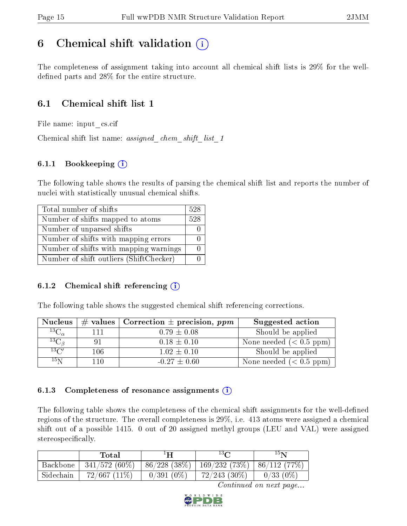# <span id="page-14-0"></span>6 Chemical shift validation  $\binom{1}{k}$

The completeness of assignment taking into account all chemical shift lists is 29% for the welldefined parts and  $28\%$  for the entire structure.

## 6.1 Chemical shift list 1

File name: input\_cs.cif

Chemical shift list name: *assigned\_chem\_shift\_list\_1* 

#### 6.1.1 Bookkeeping (i)

The following table shows the results of parsing the chemical shift list and reports the number of nuclei with statistically unusual chemical shifts.

| Total number of shifts                  | 528 |
|-----------------------------------------|-----|
| Number of shifts mapped to atoms        | 528 |
| Number of unparsed shifts               |     |
| Number of shifts with mapping errors    |     |
| Number of shifts with mapping warnings  |     |
| Number of shift outliers (ShiftChecker) |     |

#### 6.1.2 Chemical shift referencing  $(i)$

The following table shows the suggested chemical shift referencing corrections.

| <b>Nucleus</b>      |      | # values   Correction $\pm$ precision, ppm | Suggested action        |
|---------------------|------|--------------------------------------------|-------------------------|
| ${}^{13}C_{\alpha}$ | 111  | $0.79 \pm 0.08$                            | Should be applied       |
| ${}^{13}C_{\beta}$  | 9 I  | $0.18 \pm 0.10$                            | None needed $(0.5 ppm)$ |
| $13\text{C}$        | 106. | $1.02 \pm 0.10$                            | Should be applied       |
| $15\,\mathrm{N}$    | 110  | $-0.27 \pm 0.60$                           | None needed $(0.5 ppm)$ |

#### 6.1.3 Completeness of resonance assignments  $(i)$

The following table shows the completeness of the chemical shift assignments for the well-defined regions of the structure. The overall completeness is 29%, i.e. 413 atoms were assigned a chemical shift out of a possible 1415. 0 out of 20 assigned methyl groups (LEU and VAL) were assigned stereospecifically.

|           | $\rm Total$       |                   | $13\Omega$      | 15 N        |
|-----------|-------------------|-------------------|-----------------|-------------|
| Backbone  | $341/572(60\%)$   | $86/228$ $(38\%)$ | 169/232(73%)    | 86/112(77%) |
| Sidechain | $72/667$ $(11\%)$ | $0/391(0\%)$      | $72/243$ (30\%) | $0/33(0\%)$ |

Continued on next page...